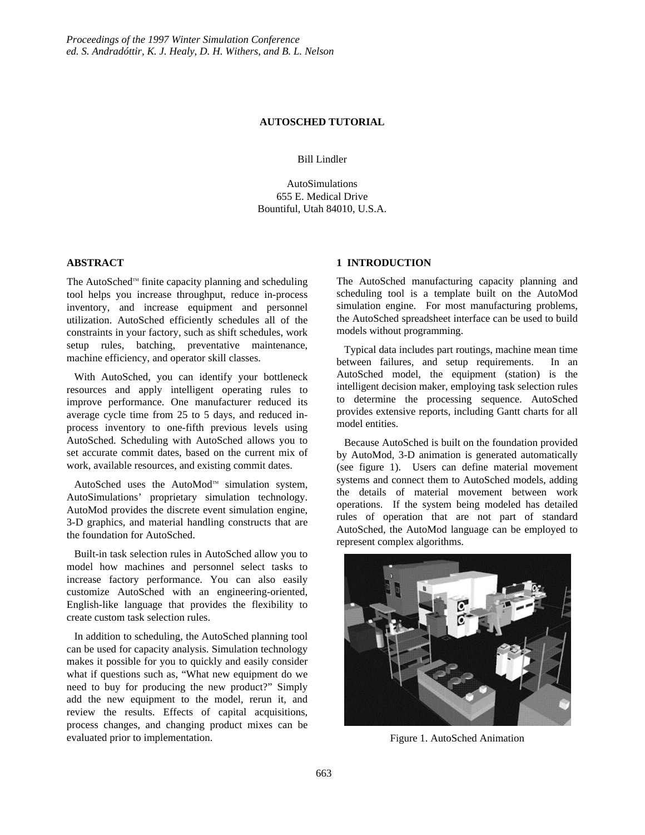### **AUTOSCHED TUTORIAL**

Bill Lindler

AutoSimulations 655 E. Medical Drive Bountiful, Utah 84010, U.S.A.

## **ABSTRACT**

The AutoSched<sup> $m$ </sup> finite capacity planning and scheduling tool helps you increase throughput, reduce in-process inventory, and increase equipment and personnel utilization. AutoSched efficiently schedules all of the constraints in your factory, such as shift schedules, work setup rules, batching, preventative maintenance, machine efficiency, and operator skill classes.

With AutoSched, you can identify your bottleneck resources and apply intelligent operating rules to improve performance. One manufacturer reduced its average cycle time from 25 to 5 days, and reduced inprocess inventory to one-fifth previous levels using AutoSched. Scheduling with AutoSched allows you to set accurate commit dates, based on the current mix of work, available resources, and existing commit dates.

AutoSched uses the AutoMod™ simulation system, AutoSimulations' proprietary simulation technology. AutoMod provides the discrete event simulation engine, 3-D graphics, and material handling constructs that are the foundation for AutoSched.

Built-in task selection rules in AutoSched allow you to model how machines and personnel select tasks to increase factory performance. You can also easily customize AutoSched with an engineering-oriented, English-like language that provides the flexibility to create custom task selection rules.

In addition to scheduling, the AutoSched planning tool can be used for capacity analysis. Simulation technology makes it possible for you to quickly and easily consider what if questions such as, "What new equipment do we need to buy for producing the new product?" Simply add the new equipment to the model, rerun it, and review the results. Effects of capital acquisitions, process changes, and changing product mixes can be evaluated prior to implementation.

### **1 INTRODUCTION**

The AutoSched manufacturing capacity planning and scheduling tool is a template built on the AutoMod simulation engine. For most manufacturing problems, the AutoSched spreadsheet interface can be used to build models without programming.

Typical data includes part routings, machine mean time between failures, and setup requirements. In an AutoSched model, the equipment (station) is the intelligent decision maker, employing task selection rules to determine the processing sequence. AutoSched provides extensive reports, including Gantt charts for all model entities.

Because AutoSched is built on the foundation provided by AutoMod, 3-D animation is generated automatically (see figure 1). Users can define material movement systems and connect them to AutoSched models, adding the details of material movement between work operations. If the system being modeled has detailed rules of operation that are not part of standard AutoSched, the AutoMod language can be employed to represent complex algorithms.



Figure 1. AutoSched Animation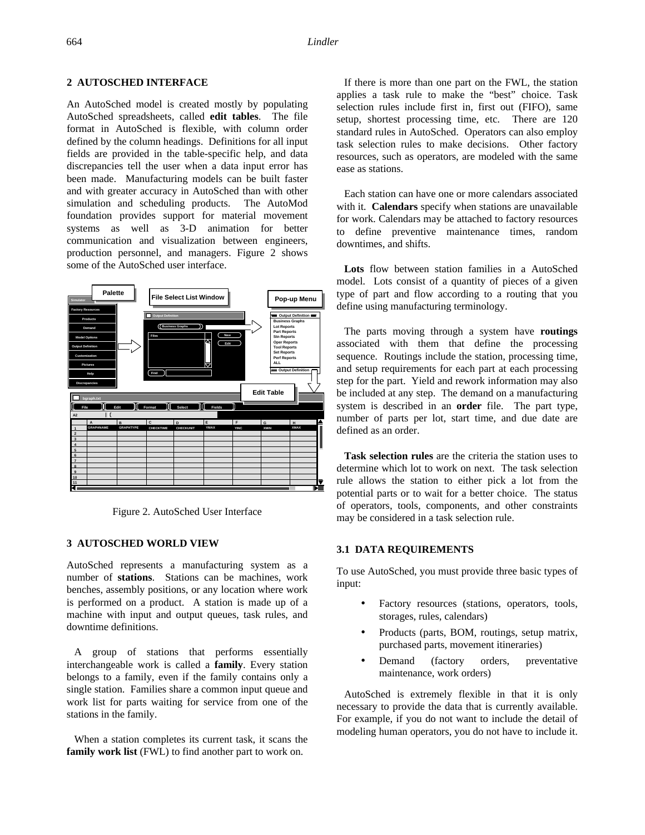## **2 AUTOSCHED INTERFACE**

An AutoSched model is created mostly by populating AutoSched spreadsheets, called **edit tables**. The file format in AutoSched is flexible, with column order defined by the column headings. Definitions for all input fields are provided in the table-specific help, and data discrepancies tell the user when a data input error has been made. Manufacturing models can be built faster and with greater accuracy in AutoSched than with other simulation and scheduling products. The AutoMod foundation provides support for material movement systems as well as 3-D animation for better communication and visualization between engineers, production personnel, and managers. Figure 2 shows some of the AutoSched user interface.



Figure 2. AutoSched User Interface

### **3 AUTOSCHED WORLD VIEW**

AutoSched represents a manufacturing system as a number of **stations**. Stations can be machines, work benches, assembly positions, or any location where work is performed on a product. A station is made up of a machine with input and output queues, task rules, and downtime definitions.

A group of stations that performs essentially interchangeable work is called a **family**. Every station belongs to a family, even if the family contains only a single station. Families share a common input queue and work list for parts waiting for service from one of the stations in the family.

When a station completes its current task, it scans the **family work list** (FWL) to find another part to work on.

If there is more than one part on the FWL, the station applies a task rule to make the "best" choice. Task selection rules include first in, first out (FIFO), same setup, shortest processing time, etc. There are 120 standard rules in AutoSched. Operators can also employ task selection rules to make decisions. Other factory resources, such as operators, are modeled with the same ease as stations.

Each station can have one or more calendars associated with it. **Calendars** specify when stations are unavailable for work. Calendars may be attached to factory resources to define preventive maintenance times, random downtimes, and shifts.

**Lots** flow between station families in a AutoSched model. Lots consist of a quantity of pieces of a given type of part and flow according to a routing that you define using manufacturing terminology.

The parts moving through a system have **routings** associated with them that define the processing sequence. Routings include the station, processing time, and setup requirements for each part at each processing step for the part. Yield and rework information may also be included at any step. The demand on a manufacturing system is described in an **order** file. The part type, number of parts per lot, start time, and due date are defined as an order.

**Task selection rules** are the criteria the station uses to determine which lot to work on next. The task selection rule allows the station to either pick a lot from the potential parts or to wait for a better choice. The status of operators, tools, components, and other constraints may be considered in a task selection rule.

#### **3.1 DATA REQUIREMENTS**

To use AutoSched, you must provide three basic types of input:

- Factory resources (stations, operators, tools, storages, rules, calendars)
- Products (parts, BOM, routings, setup matrix, purchased parts, movement itineraries)
- Demand (factory orders, preventative maintenance, work orders)

AutoSched is extremely flexible in that it is only necessary to provide the data that is currently available. For example, if you do not want to include the detail of modeling human operators, you do not have to include it.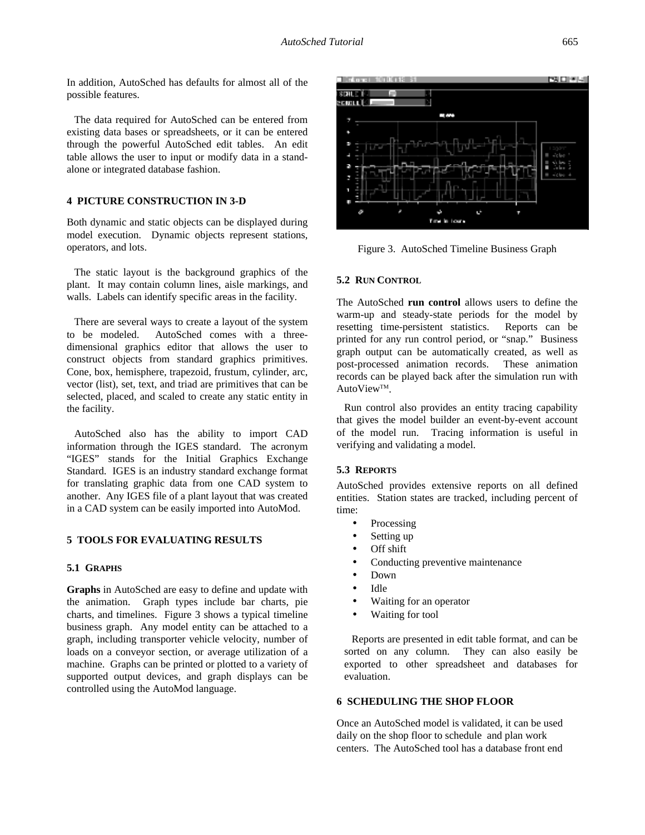In addition, AutoSched has defaults for almost all of the possible features.

The data required for AutoSched can be entered from existing data bases or spreadsheets, or it can be entered through the powerful AutoSched edit tables. An edit table allows the user to input or modify data in a standalone or integrated database fashion.

## **4 PICTURE CONSTRUCTION IN 3-D**

Both dynamic and static objects can be displayed during model execution. Dynamic objects represent stations, operators, and lots.

The static layout is the background graphics of the plant. It may contain column lines, aisle markings, and walls. Labels can identify specific areas in the facility.

There are several ways to create a layout of the system to be modeled. AutoSched comes with a threedimensional graphics editor that allows the user to construct objects from standard graphics primitives. Cone, box, hemisphere, trapezoid, frustum, cylinder, arc, vector (list), set, text, and triad are primitives that can be selected, placed, and scaled to create any static entity in the facility.

AutoSched also has the ability to import CAD information through the IGES standard. The acronym "IGES" stands for the Initial Graphics Exchange Standard. IGES is an industry standard exchange format for translating graphic data from one CAD system to another. Any IGES file of a plant layout that was created in a CAD system can be easily imported into AutoMod.

## **5 TOOLS FOR EVALUATING RESULTS**

## **5.1 GRAPHS**

**Graphs** in AutoSched are easy to define and update with the animation. Graph types include bar charts, pie charts, and timelines. Figure 3 shows a typical timeline business graph. Any model entity can be attached to a graph, including transporter vehicle velocity, number of loads on a conveyor section, or average utilization of a machine. Graphs can be printed or plotted to a variety of supported output devices, and graph displays can be controlled using the AutoMod language.



Figure 3. AutoSched Timeline Business Graph

#### **5.2 RUN CONTROL**

The AutoSched **run control** allows users to define the warm-up and steady-state periods for the model by resetting time-persistent statistics. Reports can be printed for any run control period, or "snap." Business graph output can be automatically created, as well as post-processed animation records. These animation records can be played back after the simulation run with AutoView<sup>™</sup>.

Run control also provides an entity tracing capability that gives the model builder an event-by-event account of the model run. Tracing information is useful in verifying and validating a model.

#### **5.3 REPORTS**

AutoSched provides extensive reports on all defined entities. Station states are tracked, including percent of time:

- **Processing**
- Setting up
- Off shift
- Conducting preventive maintenance
- Down
- Idle
- Waiting for an operator
- Waiting for tool

Reports are presented in edit table format, and can be sorted on any column. They can also easily be exported to other spreadsheet and databases for evaluation.

# **6 SCHEDULING THE SHOP FLOOR**

Once an AutoSched model is validated, it can be used daily on the shop floor to schedule and plan work centers. The AutoSched tool has a database front end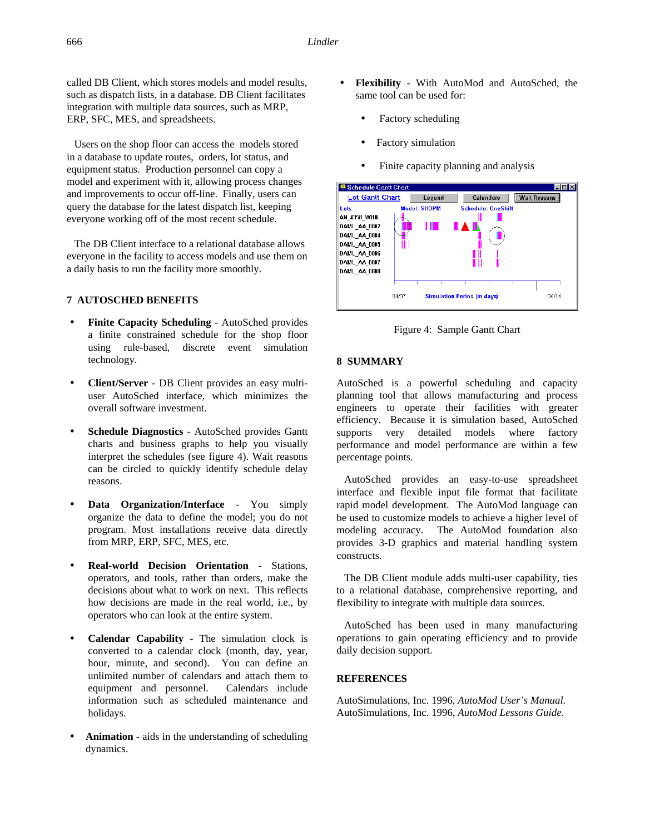called DB Client, which stores models and model results, such as dispatch lists, in a database. DB Client facilitates integration with multiple data sources, such as MRP, ERP, SFC, MES, and spreadsheets.

Users on the shop floor can access the models stored in a database to update routes, orders, lot status, and equipment status. Production personnel can copy a model and experiment with it, allowing process changes and improvements to occur off-line. Finally, users can query the database for the latest dispatch list, keeping everyone working off of the most recent schedule.

The DB Client interface to a relational database allows everyone in the facility to access models and use them on a daily basis to run the facility more smoothly.

#### **7 AUTOSCHED BENEFITS**

- **Finite Capacity Scheduling** AutoSched provides a finite constrained schedule for the shop floor using rule-based, discrete event simulation technology.
- **Client/Server**  DB Client provides an easy multiuser AutoSched interface, which minimizes the overall software investment.
- **Schedule Diagnostics** AutoSched provides Gantt charts and business graphs to help you visually interpret the schedules (see figure 4). Wait reasons can be circled to quickly identify schedule delay reasons.
- **Data Organization/Interface** You simply organize the data to define the model; you do not program. Most installations receive data directly from MRP, ERP, SFC, MES, etc.
- **Real-world Decision Orientation** Stations, operators, and tools, rather than orders, make the decisions about what to work on next. This reflects how decisions are made in the real world, i.e., by operators who can look at the entire system.
- **Calendar Capability** The simulation clock is converted to a calendar clock (month, day, year, hour, minute, and second). You can define an unlimited number of calendars and attach them to equipment and personnel. Calendars include information such as scheduled maintenance and holidays.
- **Animation** aids in the understanding of scheduling dynamics.
- **Flexibility** With AutoMod and AutoSched, the same tool can be used for:
	- Factory scheduling
	- Factory simulation
	- Finite capacity planning and analysis

| <b>Schedule Gantt Chart</b>                                                                                              |                           |                                  |
|--------------------------------------------------------------------------------------------------------------------------|---------------------------|----------------------------------|
| <b>Lot Gantt Chart</b>                                                                                                   | Legend                    | <b>Wait Reasons</b><br>Calendars |
| <b>Lots</b><br>AN 4358 WHN<br><b>DAML AA 0002</b><br>DAML AA 0004<br>DAML AA 0005<br><b>DAML AA 0006</b><br>DAML AA 0007 | <b>Model: SHOPM</b><br>AI | <b>Schedule: OneShift</b>        |
| DAML AA 0008<br>04/07<br><b>Simulation Period (in days)</b><br>04/14                                                     |                           |                                  |

Figure 4: Sample Gantt Chart

### **8 SUMMARY**

AutoSched is a powerful scheduling and capacity planning tool that allows manufacturing and process engineers to operate their facilities with greater efficiency. Because it is simulation based, AutoSched supports very detailed models where factory performance and model performance are within a few percentage points.

AutoSched provides an easy-to-use spreadsheet interface and flexible input file format that facilitate rapid model development. The AutoMod language can be used to customize models to achieve a higher level of modeling accuracy. The AutoMod foundation also provides 3-D graphics and material handling system constructs.

The DB Client module adds multi-user capability, ties to a relational database, comprehensive reporting, and flexibility to integrate with multiple data sources.

AutoSched has been used in many manufacturing operations to gain operating efficiency and to provide daily decision support.

### **REFERENCES**

AutoSimulations, Inc. 1996, *AutoMod User's Manual.* AutoSimulations, Inc. 1996, *AutoMod Lessons Guide.*